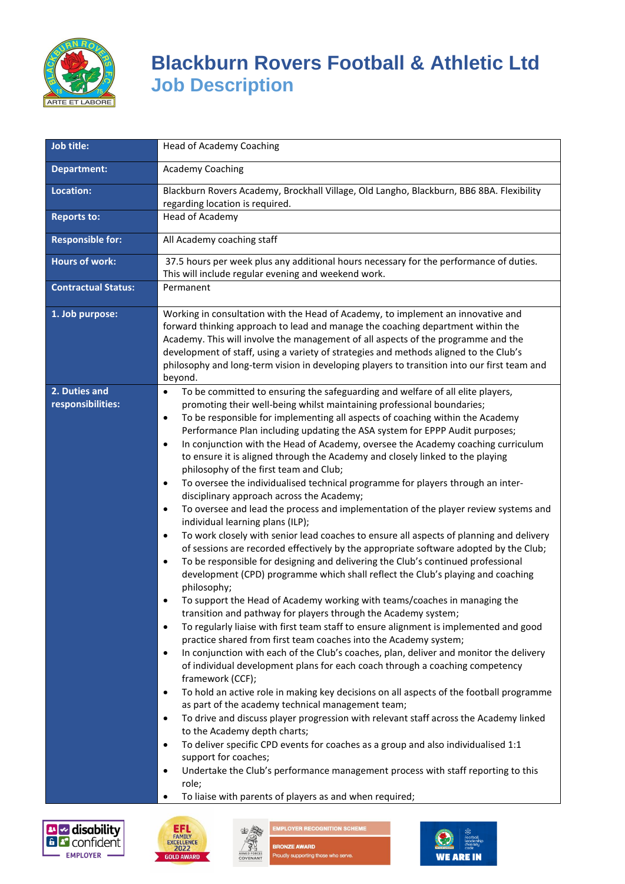

# **Blackburn Rovers Football & Athletic Ltd Job Description**

| Job title:                         | <b>Head of Academy Coaching</b>                                                                                                                                                                                                                                                                                                                                                                                                                                                                                                                                                                                                                                                                                                                                                                                                                                                                                                                                                                                                                                                                                                                                                                                                                                                                                                                                                                                                                                                                                                                                                                                                                                                                                                                                                                                                                                                                                                                                                                                                                                                                                                                                                                                                                                                                                                                                                                                                 |
|------------------------------------|---------------------------------------------------------------------------------------------------------------------------------------------------------------------------------------------------------------------------------------------------------------------------------------------------------------------------------------------------------------------------------------------------------------------------------------------------------------------------------------------------------------------------------------------------------------------------------------------------------------------------------------------------------------------------------------------------------------------------------------------------------------------------------------------------------------------------------------------------------------------------------------------------------------------------------------------------------------------------------------------------------------------------------------------------------------------------------------------------------------------------------------------------------------------------------------------------------------------------------------------------------------------------------------------------------------------------------------------------------------------------------------------------------------------------------------------------------------------------------------------------------------------------------------------------------------------------------------------------------------------------------------------------------------------------------------------------------------------------------------------------------------------------------------------------------------------------------------------------------------------------------------------------------------------------------------------------------------------------------------------------------------------------------------------------------------------------------------------------------------------------------------------------------------------------------------------------------------------------------------------------------------------------------------------------------------------------------------------------------------------------------------------------------------------------------|
| <b>Department:</b>                 | <b>Academy Coaching</b>                                                                                                                                                                                                                                                                                                                                                                                                                                                                                                                                                                                                                                                                                                                                                                                                                                                                                                                                                                                                                                                                                                                                                                                                                                                                                                                                                                                                                                                                                                                                                                                                                                                                                                                                                                                                                                                                                                                                                                                                                                                                                                                                                                                                                                                                                                                                                                                                         |
| Location:                          | Blackburn Rovers Academy, Brockhall Village, Old Langho, Blackburn, BB6 8BA. Flexibility                                                                                                                                                                                                                                                                                                                                                                                                                                                                                                                                                                                                                                                                                                                                                                                                                                                                                                                                                                                                                                                                                                                                                                                                                                                                                                                                                                                                                                                                                                                                                                                                                                                                                                                                                                                                                                                                                                                                                                                                                                                                                                                                                                                                                                                                                                                                        |
|                                    | regarding location is required.                                                                                                                                                                                                                                                                                                                                                                                                                                                                                                                                                                                                                                                                                                                                                                                                                                                                                                                                                                                                                                                                                                                                                                                                                                                                                                                                                                                                                                                                                                                                                                                                                                                                                                                                                                                                                                                                                                                                                                                                                                                                                                                                                                                                                                                                                                                                                                                                 |
| <b>Reports to:</b>                 | <b>Head of Academy</b>                                                                                                                                                                                                                                                                                                                                                                                                                                                                                                                                                                                                                                                                                                                                                                                                                                                                                                                                                                                                                                                                                                                                                                                                                                                                                                                                                                                                                                                                                                                                                                                                                                                                                                                                                                                                                                                                                                                                                                                                                                                                                                                                                                                                                                                                                                                                                                                                          |
| <b>Responsible for:</b>            | All Academy coaching staff                                                                                                                                                                                                                                                                                                                                                                                                                                                                                                                                                                                                                                                                                                                                                                                                                                                                                                                                                                                                                                                                                                                                                                                                                                                                                                                                                                                                                                                                                                                                                                                                                                                                                                                                                                                                                                                                                                                                                                                                                                                                                                                                                                                                                                                                                                                                                                                                      |
| <b>Hours of work:</b>              | 37.5 hours per week plus any additional hours necessary for the performance of duties.<br>This will include regular evening and weekend work.                                                                                                                                                                                                                                                                                                                                                                                                                                                                                                                                                                                                                                                                                                                                                                                                                                                                                                                                                                                                                                                                                                                                                                                                                                                                                                                                                                                                                                                                                                                                                                                                                                                                                                                                                                                                                                                                                                                                                                                                                                                                                                                                                                                                                                                                                   |
| <b>Contractual Status:</b>         | Permanent                                                                                                                                                                                                                                                                                                                                                                                                                                                                                                                                                                                                                                                                                                                                                                                                                                                                                                                                                                                                                                                                                                                                                                                                                                                                                                                                                                                                                                                                                                                                                                                                                                                                                                                                                                                                                                                                                                                                                                                                                                                                                                                                                                                                                                                                                                                                                                                                                       |
| 1. Job purpose:                    | Working in consultation with the Head of Academy, to implement an innovative and<br>forward thinking approach to lead and manage the coaching department within the<br>Academy. This will involve the management of all aspects of the programme and the<br>development of staff, using a variety of strategies and methods aligned to the Club's<br>philosophy and long-term vision in developing players to transition into our first team and<br>beyond.                                                                                                                                                                                                                                                                                                                                                                                                                                                                                                                                                                                                                                                                                                                                                                                                                                                                                                                                                                                                                                                                                                                                                                                                                                                                                                                                                                                                                                                                                                                                                                                                                                                                                                                                                                                                                                                                                                                                                                     |
| 2. Duties and<br>responsibilities: | To be committed to ensuring the safeguarding and welfare of all elite players,<br>$\bullet$<br>promoting their well-being whilst maintaining professional boundaries;<br>To be responsible for implementing all aspects of coaching within the Academy<br>$\bullet$<br>Performance Plan including updating the ASA system for EPPP Audit purposes;<br>In conjunction with the Head of Academy, oversee the Academy coaching curriculum<br>$\bullet$<br>to ensure it is aligned through the Academy and closely linked to the playing<br>philosophy of the first team and Club;<br>To oversee the individualised technical programme for players through an inter-<br>$\bullet$<br>disciplinary approach across the Academy;<br>To oversee and lead the process and implementation of the player review systems and<br>$\bullet$<br>individual learning plans (ILP);<br>To work closely with senior lead coaches to ensure all aspects of planning and delivery<br>$\bullet$<br>of sessions are recorded effectively by the appropriate software adopted by the Club;<br>To be responsible for designing and delivering the Club's continued professional<br>$\bullet$<br>development (CPD) programme which shall reflect the Club's playing and coaching<br>philosophy;<br>To support the Head of Academy working with teams/coaches in managing the<br>٠<br>transition and pathway for players through the Academy system;<br>To regularly liaise with first team staff to ensure alignment is implemented and good<br>$\bullet$<br>practice shared from first team coaches into the Academy system;<br>In conjunction with each of the Club's coaches, plan, deliver and monitor the delivery<br>$\bullet$<br>of individual development plans for each coach through a coaching competency<br>framework (CCF);<br>To hold an active role in making key decisions on all aspects of the football programme<br>$\bullet$<br>as part of the academy technical management team;<br>To drive and discuss player progression with relevant staff across the Academy linked<br>$\bullet$<br>to the Academy depth charts;<br>To deliver specific CPD events for coaches as a group and also individualised 1:1<br>$\bullet$<br>support for coaches;<br>Undertake the Club's performance management process with staff reporting to this<br>$\bullet$<br>role;<br>To liaise with parents of players as and when required;<br>$\bullet$ |
|                                    |                                                                                                                                                                                                                                                                                                                                                                                                                                                                                                                                                                                                                                                                                                                                                                                                                                                                                                                                                                                                                                                                                                                                                                                                                                                                                                                                                                                                                                                                                                                                                                                                                                                                                                                                                                                                                                                                                                                                                                                                                                                                                                                                                                                                                                                                                                                                                                                                                                 |
| <b>MER dicobility</b>              | EEL.                                                                                                                                                                                                                                                                                                                                                                                                                                                                                                                                                                                                                                                                                                                                                                                                                                                                                                                                                                                                                                                                                                                                                                                                                                                                                                                                                                                                                                                                                                                                                                                                                                                                                                                                                                                                                                                                                                                                                                                                                                                                                                                                                                                                                                                                                                                                                                                                                            |







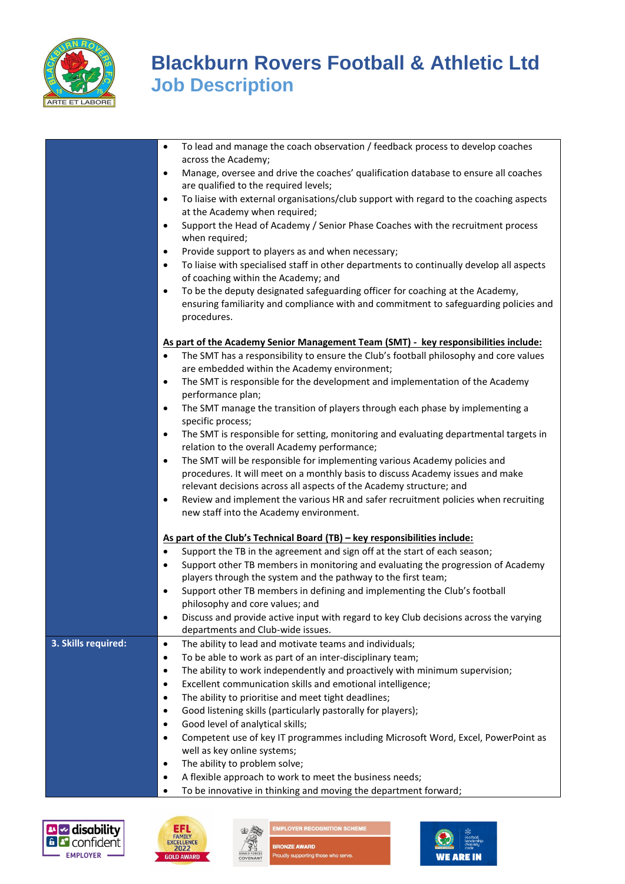

# **Blackburn Rovers Football & Athletic Ltd Job Description**

|                     | To lead and manage the coach observation / feedback process to develop coaches<br>$\bullet$                                       |
|---------------------|-----------------------------------------------------------------------------------------------------------------------------------|
|                     | across the Academy;                                                                                                               |
|                     | Manage, oversee and drive the coaches' qualification database to ensure all coaches<br>٠<br>are qualified to the required levels; |
|                     | To liaise with external organisations/club support with regard to the coaching aspects<br>$\bullet$                               |
|                     | at the Academy when required;                                                                                                     |
|                     | Support the Head of Academy / Senior Phase Coaches with the recruitment process<br>$\bullet$                                      |
|                     | when required;                                                                                                                    |
|                     | Provide support to players as and when necessary;<br>$\bullet$                                                                    |
|                     | To liaise with specialised staff in other departments to continually develop all aspects<br>$\bullet$                             |
|                     | of coaching within the Academy; and                                                                                               |
|                     | To be the deputy designated safeguarding officer for coaching at the Academy,<br>٠                                                |
|                     | ensuring familiarity and compliance with and commitment to safeguarding policies and                                              |
|                     | procedures.                                                                                                                       |
|                     | As part of the Academy Senior Management Team (SMT) - key responsibilities include:                                               |
|                     | The SMT has a responsibility to ensure the Club's football philosophy and core values<br>٠                                        |
|                     | are embedded within the Academy environment;                                                                                      |
|                     | The SMT is responsible for the development and implementation of the Academy<br>$\bullet$                                         |
|                     | performance plan;                                                                                                                 |
|                     | The SMT manage the transition of players through each phase by implementing a<br>$\bullet$                                        |
|                     | specific process;                                                                                                                 |
|                     | The SMT is responsible for setting, monitoring and evaluating departmental targets in<br>٠                                        |
|                     | relation to the overall Academy performance;                                                                                      |
|                     | The SMT will be responsible for implementing various Academy policies and<br>$\bullet$                                            |
|                     | procedures. It will meet on a monthly basis to discuss Academy issues and make                                                    |
|                     | relevant decisions across all aspects of the Academy structure; and                                                               |
|                     | Review and implement the various HR and safer recruitment policies when recruiting<br>$\bullet$                                   |
|                     | new staff into the Academy environment.                                                                                           |
|                     | As part of the Club's Technical Board (TB) - key responsibilities include:                                                        |
|                     | Support the TB in the agreement and sign off at the start of each season;<br>٠                                                    |
|                     | Support other TB members in monitoring and evaluating the progression of Academy<br>٠                                             |
|                     | players through the system and the pathway to the first team;                                                                     |
|                     | Support other TB members in defining and implementing the Club's football<br>$\bullet$                                            |
|                     | philosophy and core values; and                                                                                                   |
|                     | Discuss and provide active input with regard to key Club decisions across the varying<br>$\bullet$                                |
|                     | departments and Club-wide issues.                                                                                                 |
| 3. Skills required: | The ability to lead and motivate teams and individuals;<br>$\bullet$                                                              |
|                     | To be able to work as part of an inter-disciplinary team;<br>$\bullet$                                                            |
|                     | The ability to work independently and proactively with minimum supervision;<br>٠                                                  |
|                     | Excellent communication skills and emotional intelligence;<br>$\bullet$                                                           |
|                     | The ability to prioritise and meet tight deadlines;<br>$\bullet$                                                                  |
|                     | Good listening skills (particularly pastorally for players);<br>٠<br>Good level of analytical skills;                             |
|                     | $\bullet$                                                                                                                         |
|                     | Competent use of key IT programmes including Microsoft Word, Excel, PowerPoint as<br>$\bullet$<br>well as key online systems;     |
|                     | The ability to problem solve;<br>٠                                                                                                |
|                     | A flexible approach to work to meet the business needs;<br>٠                                                                      |
|                     | To be innovative in thinking and moving the department forward;<br>٠                                                              |
|                     |                                                                                                                                   |